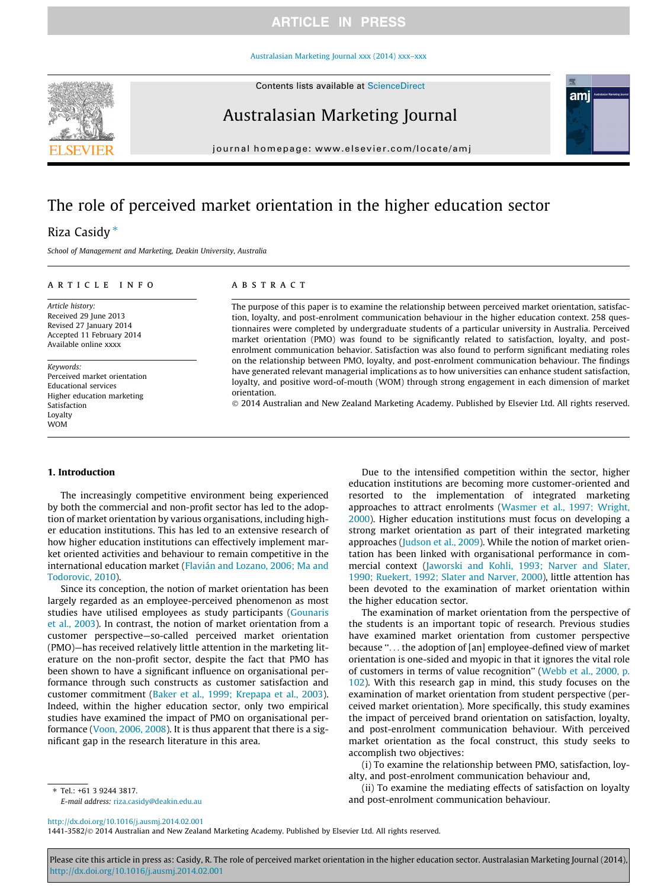### **ARTICLE IN PRESS**

#### [Australasian Marketing Journal xxx \(2014\) xxx–xxx](http://dx.doi.org/10.1016/j.ausmj.2014.02.001)





## Australasian Marketing Journal

journal homepage: [www.elsevier.com/locate/amj](http://www.elsevier.com/locate/amj)

# The role of perceived market orientation in the higher education sector

### Riza Casidy \*

School of Management and Marketing, Deakin University, Australia

#### article info

Article history: Received 29 June 2013 Revised 27 January 2014 Accepted 11 February 2014 Available online xxxx

Keywords: Perceived market orientation Educational services Higher education marketing Satisfaction Loyalty WOM

#### **ABSTRACT**

The purpose of this paper is to examine the relationship between perceived market orientation, satisfaction, loyalty, and post-enrolment communication behaviour in the higher education context. 258 questionnaires were completed by undergraduate students of a particular university in Australia. Perceived market orientation (PMO) was found to be significantly related to satisfaction, loyalty, and postenrolment communication behavior. Satisfaction was also found to perform significant mediating roles on the relationship between PMO, loyalty, and post-enrolment communication behaviour. The findings have generated relevant managerial implications as to how universities can enhance student satisfaction, loyalty, and positive word-of-mouth (WOM) through strong engagement in each dimension of market orientation.

- 2014 Australian and New Zealand Marketing Academy. Published by Elsevier Ltd. All rights reserved.

#### 1. Introduction

The increasingly competitive environment being experienced by both the commercial and non-profit sector has led to the adoption of market orientation by various organisations, including higher education institutions. This has led to an extensive research of how higher education institutions can effectively implement market oriented activities and behaviour to remain competitive in the international education market [\(Flavián and Lozano, 2006; Ma and](#page--1-0) [Todorovic, 2010](#page--1-0)).

Since its conception, the notion of market orientation has been largely regarded as an employee-perceived phenomenon as most studies have utilised employees as study participants ([Gounaris](#page--1-0) [et al., 2003](#page--1-0)). In contrast, the notion of market orientation from a customer perspective—so-called perceived market orientation (PMO)—has received relatively little attention in the marketing literature on the non-profit sector, despite the fact that PMO has been shown to have a significant influence on organisational performance through such constructs as customer satisfaction and customer commitment ([Baker et al., 1999; Krepapa et al., 2003\)](#page--1-0). Indeed, within the higher education sector, only two empirical studies have examined the impact of PMO on organisational performance [\(Voon, 2006, 2008](#page--1-0)). It is thus apparent that there is a significant gap in the research literature in this area.

Due to the intensified competition within the sector, higher education institutions are becoming more customer-oriented and resorted to the implementation of integrated marketing approaches to attract enrolments ([Wasmer et al., 1997; Wright,](#page--1-0) [2000](#page--1-0)). Higher education institutions must focus on developing a strong market orientation as part of their integrated marketing approaches ([Judson et al., 2009](#page--1-0)). While the notion of market orientation has been linked with organisational performance in commercial context ([Jaworski and Kohli, 1993; Narver and Slater,](#page--1-0) [1990; Ruekert, 1992; Slater and Narver, 2000](#page--1-0)), little attention has been devoted to the examination of market orientation within the higher education sector.

ami

The examination of market orientation from the perspective of the students is an important topic of research. Previous studies have examined market orientation from customer perspective because ''... the adoption of [an] employee-defined view of market orientation is one-sided and myopic in that it ignores the vital role of customers in terms of value recognition'' ([Webb et al., 2000, p.](#page--1-0) [102\)](#page--1-0). With this research gap in mind, this study focuses on the examination of market orientation from student perspective (perceived market orientation). More specifically, this study examines the impact of perceived brand orientation on satisfaction, loyalty, and post-enrolment communication behaviour. With perceived market orientation as the focal construct, this study seeks to accomplish two objectives:

(i) To examine the relationship between PMO, satisfaction, loyalty, and post-enrolment communication behaviour and,

(ii) To examine the mediating effects of satisfaction on loyalty and post-enrolment communication behaviour.

⇑ Tel.: +61 3 9244 3817. E-mail address: [riza.casidy@deakin.edu.au](mailto:riza.casidy@deakin.edu.au)

<http://dx.doi.org/10.1016/j.ausmj.2014.02.001>

1441-3582/© 2014 Australian and New Zealand Marketing Academy. Published by Elsevier Ltd. All rights reserved.

Please cite this article in press as: Casidy, R. The role of perceived market orientation in the higher education sector. Australasian Marketing Journal (2014), <http://dx.doi.org/10.1016/j.ausmj.2014.02.001>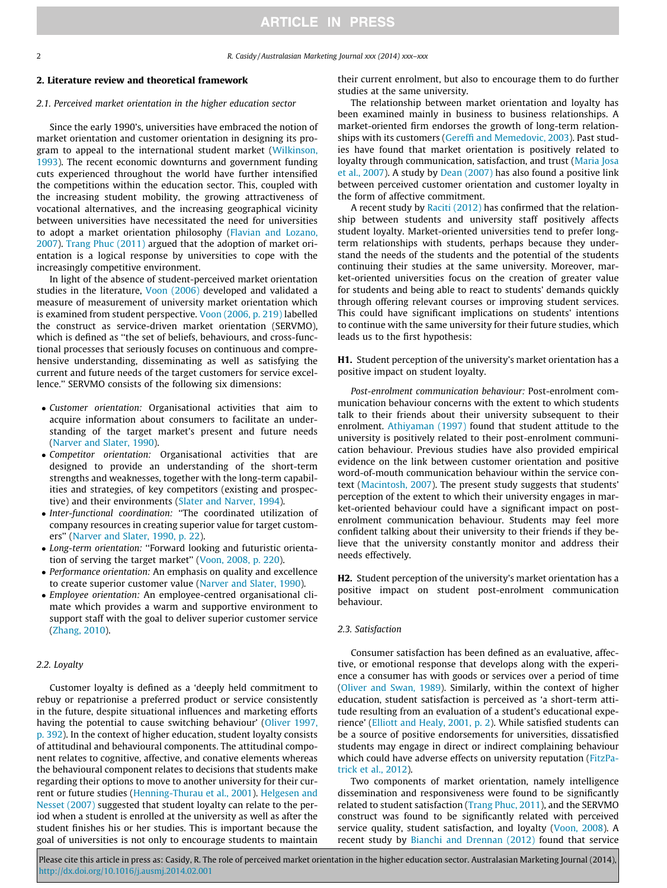2 R. Casidy / Australasian Marketing Journal xxx (2014) xxx–xxx

#### 2. Literature review and theoretical framework

#### 2.1. Perceived market orientation in the higher education sector

Since the early 1990's, universities have embraced the notion of market orientation and customer orientation in designing its program to appeal to the international student market [\(Wilkinson,](#page--1-0) [1993\)](#page--1-0). The recent economic downturns and government funding cuts experienced throughout the world have further intensified the competitions within the education sector. This, coupled with the increasing student mobility, the growing attractiveness of vocational alternatives, and the increasing geographical vicinity between universities have necessitated the need for universities to adopt a market orientation philosophy ([Flavian and Lozano,](#page--1-0) [2007\)](#page--1-0). [Trang Phuc \(2011\)](#page--1-0) argued that the adoption of market orientation is a logical response by universities to cope with the increasingly competitive environment.

In light of the absence of student-perceived market orientation studies in the literature, [Voon \(2006\)](#page--1-0) developed and validated a measure of measurement of university market orientation which is examined from student perspective. [Voon \(2006, p. 219\)](#page--1-0) labelled the construct as service-driven market orientation (SERVMO), which is defined as ''the set of beliefs, behaviours, and cross-functional processes that seriously focuses on continuous and comprehensive understanding, disseminating as well as satisfying the current and future needs of the target customers for service excellence.'' SERVMO consists of the following six dimensions:

- Customer orientation: Organisational activities that aim to acquire information about consumers to facilitate an understanding of the target market's present and future needs [\(Narver and Slater, 1990](#page--1-0)).
- Competitor orientation: Organisational activities that are designed to provide an understanding of the short-term strengths and weaknesses, together with the long-term capabilities and strategies, of key competitors (existing and prospective) and their environments ([Slater and Narver, 1994\)](#page--1-0).
- Inter-functional coordination: ''The coordinated utilization of company resources in creating superior value for target customers'' ([Narver and Slater, 1990, p. 22\)](#page--1-0).
- Long-term orientation: ''Forward looking and futuristic orienta-tion of serving the target market" [\(Voon, 2008, p. 220\)](#page--1-0).
- Performance orientation: An emphasis on quality and excellence to create superior customer value [\(Narver and Slater, 1990](#page--1-0)).
- Employee orientation: An employee-centred organisational climate which provides a warm and supportive environment to support staff with the goal to deliver superior customer service [\(Zhang, 2010\)](#page--1-0).

#### 2.2. Loyalty

Customer loyalty is defined as a 'deeply held commitment to rebuy or repatrionise a preferred product or service consistently in the future, despite situational influences and marketing efforts having the potential to cause switching behaviour' ([Oliver 1997,](#page--1-0) [p. 392\)](#page--1-0). In the context of higher education, student loyalty consists of attitudinal and behavioural components. The attitudinal component relates to cognitive, affective, and conative elements whereas the behavioural component relates to decisions that students make regarding their options to move to another university for their current or future studies [\(Henning-Thurau et al., 2001\)](#page--1-0). [Helgesen and](#page--1-0) [Nesset \(2007\)](#page--1-0) suggested that student loyalty can relate to the period when a student is enrolled at the university as well as after the student finishes his or her studies. This is important because the goal of universities is not only to encourage students to maintain

their current enrolment, but also to encourage them to do further studies at the same university.

The relationship between market orientation and loyalty has been examined mainly in business to business relationships. A market-oriented firm endorses the growth of long-term relationships with its customers [\(Gereffi and Memedovic, 2003](#page--1-0)). Past studies have found that market orientation is positively related to loyalty through communication, satisfaction, and trust [\(Maria Josa](#page--1-0) [et al., 2007](#page--1-0)). A study by [Dean \(2007\)](#page--1-0) has also found a positive link between perceived customer orientation and customer loyalty in the form of affective commitment.

A recent study by [Raciti \(2012\)](#page--1-0) has confirmed that the relationship between students and university staff positively affects student loyalty. Market-oriented universities tend to prefer longterm relationships with students, perhaps because they understand the needs of the students and the potential of the students continuing their studies at the same university. Moreover, market-oriented universities focus on the creation of greater value for students and being able to react to students' demands quickly through offering relevant courses or improving student services. This could have significant implications on students' intentions to continue with the same university for their future studies, which leads us to the first hypothesis:

H1. Student perception of the university's market orientation has a positive impact on student loyalty.

Post-enrolment communication behaviour: Post-enrolment communication behaviour concerns with the extent to which students talk to their friends about their university subsequent to their enrolment. [Athiyaman \(1997\)](#page--1-0) found that student attitude to the university is positively related to their post-enrolment communication behaviour. Previous studies have also provided empirical evidence on the link between customer orientation and positive word-of-mouth communication behaviour within the service context ([Macintosh, 2007\)](#page--1-0). The present study suggests that students' perception of the extent to which their university engages in market-oriented behaviour could have a significant impact on postenrolment communication behaviour. Students may feel more confident talking about their university to their friends if they believe that the university constantly monitor and address their needs effectively.

H2. Student perception of the university's market orientation has a positive impact on student post-enrolment communication behaviour.

#### 2.3. Satisfaction

Consumer satisfaction has been defined as an evaluative, affective, or emotional response that develops along with the experience a consumer has with goods or services over a period of time ([Oliver and Swan, 1989\)](#page--1-0). Similarly, within the context of higher education, student satisfaction is perceived as 'a short-term attitude resulting from an evaluation of a student's educational experience' [\(Elliott and Healy, 2001, p. 2\)](#page--1-0). While satisfied students can be a source of positive endorsements for universities, dissatisfied students may engage in direct or indirect complaining behaviour which could have adverse effects on university reputation ([FitzPa](#page--1-0)[trick et al., 2012\)](#page--1-0).

Two components of market orientation, namely intelligence dissemination and responsiveness were found to be significantly related to student satisfaction [\(Trang Phuc, 2011\)](#page--1-0), and the SERVMO construct was found to be significantly related with perceived service quality, student satisfaction, and loyalty ([Voon, 2008\)](#page--1-0). A recent study by [Bianchi and Drennan \(2012\)](#page--1-0) found that service

Please cite this article in press as: Casidy, R. The role of perceived market orientation in the higher education sector. Australasian Marketing Journal (2014), <http://dx.doi.org/10.1016/j.ausmj.2014.02.001>